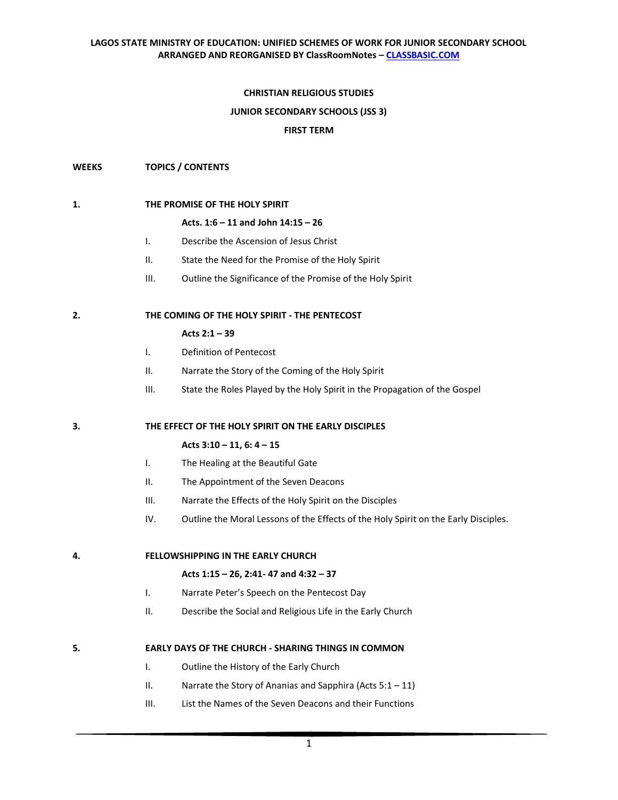# **CHRISTIAN RELIGIOUS STUDIES**

#### **JUNIOR SECONDARY SCHOOLS (JSS 3)**

#### **FIRST TERM**

### **WEEKS TOPICS / CONTENTS**

#### **1. THE PROMISE OF THE HOLY SPIRIT**

#### **Acts. 1:6 – 11 and John 14:15 – 26**

- I. Describe the Ascension of Jesus Christ
- II. State the Need for the Promise of the Holy Spirit
- III. Outline the Significance of the Promise of the Holy Spirit

### **2. THE COMING OF THE HOLY SPIRIT - THE PENTECOST**

# **Acts 2:1 – 39**

- I. Definition of Pentecost
- II. Narrate the Story of the Coming of the Holy Spirit
- III. State the Roles Played by the Holy Spirit in the Propagation of the Gospel

#### **3. THE EFFECT OF THE HOLY SPIRIT ON THE EARLY DISCIPLES**

#### **Acts 3:10 – 11, 6: 4 – 15**

- I. The Healing at the Beautiful Gate
- II. The Appointment of the Seven Deacons
- III. Narrate the Effects of the Holy Spirit on the Disciples
- IV. Outline the Moral Lessons of the Effects of the Holy Spirit on the Early Disciples.

**4. FELLOWSHIPPING IN THE EARLY CHURCH** 

## **Acts 1:15 – 26, 2:41- 47 and 4:32 – 37**

- I. Narrate Peter's Speech on the Pentecost Day
- II. Describe the Social and Religious Life in the Early Church

#### **5. EARLY DAYS OF THE CHURCH - SHARING THINGS IN COMMON**

- I. Outline the History of the Early Church
- II. Narrate the Story of Ananias and Sapphira (Acts  $5:1 11$ )
- III. List the Names of the Seven Deacons and their Functions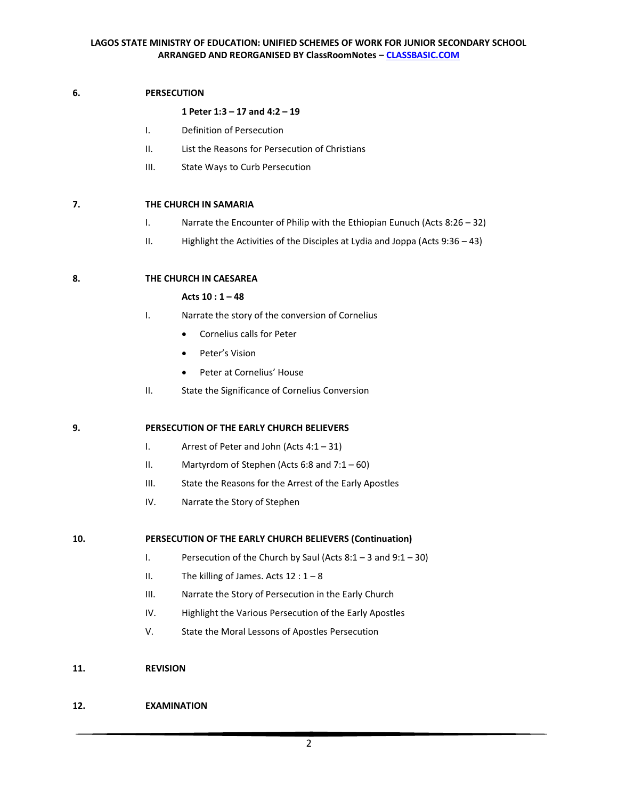# **6. PERSECUTION**

# **1 Peter 1:3 – 17 and 4:2 – 19**

- I. Definition of Persecution
- II. List the Reasons for Persecution of Christians
- III. State Ways to Curb Persecution

# **7. THE CHURCH IN SAMARIA**

- I. Narrate the Encounter of Philip with the Ethiopian Eunuch (Acts 8:26 32)
- II. Highlight the Activities of the Disciples at Lydia and Joppa (Acts 9:36 43)

# **8. THE CHURCH IN CAESAREA**

# **Acts 10 : 1 – 48**

- I. Narrate the story of the conversion of Cornelius
	- Cornelius calls for Peter
	- Peter's Vision
	- Peter at Cornelius' House
- II. State the Significance of Cornelius Conversion

# **9. PERSECUTION OF THE EARLY CHURCH BELIEVERS**

- I. Arrest of Peter and John (Acts 4:1 31)
- II. Martyrdom of Stephen (Acts 6:8 and  $7:1-60$ )
- III. State the Reasons for the Arrest of the Early Apostles
- IV. Narrate the Story of Stephen

# **10. PERSECUTION OF THE EARLY CHURCH BELIEVERS (Continuation)**

- I. Persecution of the Church by Saul (Acts 8:1 3 and 9:1 30)
- II. The killing of James. Acts  $12:1-8$
- III. Narrate the Story of Persecution in the Early Church
- IV. Highlight the Various Persecution of the Early Apostles
- V. State the Moral Lessons of Apostles Persecution
- **11. REVISION**

# **12. EXAMINATION**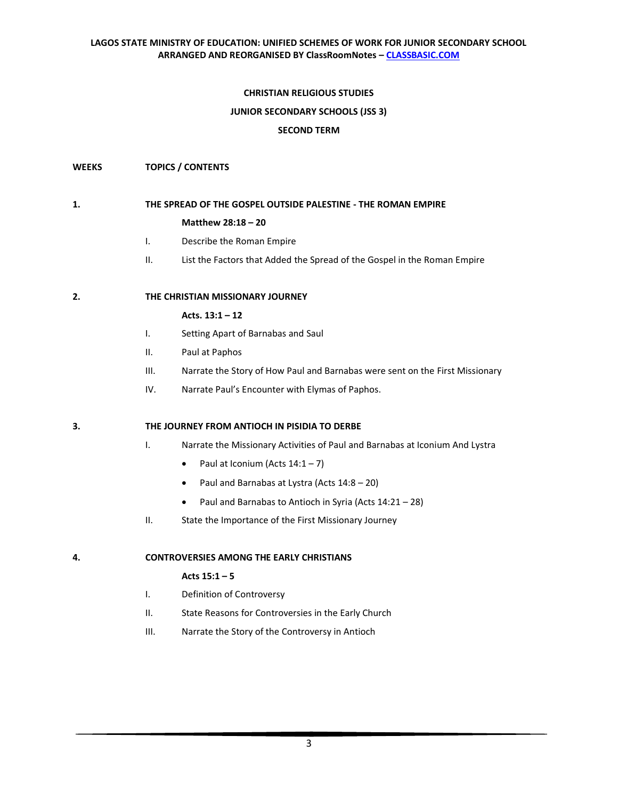# **CHRISTIAN RELIGIOUS STUDIES**

### **JUNIOR SECONDARY SCHOOLS (JSS 3)**

### **SECOND TERM**

### **WEEKS TOPICS / CONTENTS**

# **1. THE SPREAD OF THE GOSPEL OUTSIDE PALESTINE - THE ROMAN EMPIRE**

### **Matthew 28:18 – 20**

- I. Describe the Roman Empire
- II. List the Factors that Added the Spread of the Gospel in the Roman Empire

### **2. THE CHRISTIAN MISSIONARY JOURNEY**

#### **Acts. 13:1 – 12**

- I. Setting Apart of Barnabas and Saul
- II. Paul at Paphos
- III. Narrate the Story of How Paul and Barnabas were sent on the First Missionary
- IV. Narrate Paul's Encounter with Elymas of Paphos.

# **3. THE JOURNEY FROM ANTIOCH IN PISIDIA TO DERBE**

- I. Narrate the Missionary Activities of Paul and Barnabas at Iconium And Lystra
	- Paul at Iconium (Acts  $14:1-7$ )
	- Paul and Barnabas at Lystra (Acts 14:8 20)
	- Paul and Barnabas to Antioch in Syria (Acts 14:21 28)
- II. State the Importance of the First Missionary Journey

#### **4. CONTROVERSIES AMONG THE EARLY CHRISTIANS**

#### **Acts 15:1 – 5**

- I. Definition of Controversy
- II. State Reasons for Controversies in the Early Church
- III. Narrate the Story of the Controversy in Antioch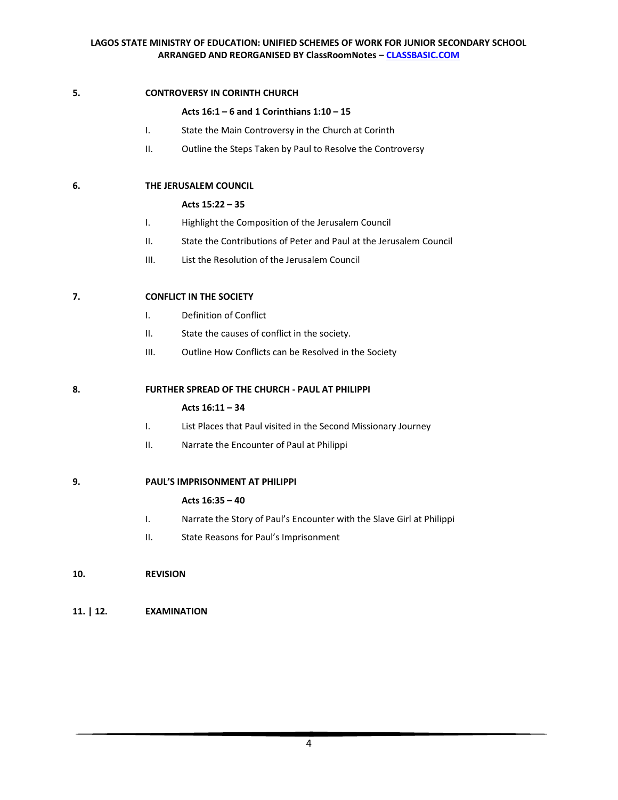# **5. CONTROVERSY IN CORINTH CHURCH**

# **Acts 16:1 – 6 and 1 Corinthians 1:10 – 15**

- I. State the Main Controversy in the Church at Corinth
- II. Outline the Steps Taken by Paul to Resolve the Controversy

# **6. THE JERUSALEM COUNCIL**

# **Acts 15:22 – 35**

- I. Highlight the Composition of the Jerusalem Council
- II. State the Contributions of Peter and Paul at the Jerusalem Council
- III. List the Resolution of the Jerusalem Council

# **7. CONFLICT IN THE SOCIETY**

- I. Definition of Conflict
- II. State the causes of conflict in the society.
- III. Outline How Conflicts can be Resolved in the Society

# **8. FURTHER SPREAD OF THE CHURCH - PAUL AT PHILIPPI**

# **Acts 16:11 – 34**

- I. List Places that Paul visited in the Second Missionary Journey
- II. Narrate the Encounter of Paul at Philippi

# **9. PAUL'S IMPRISONMENT AT PHILIPPI**

# **Acts 16:35 – 40**

- I. Narrate the Story of Paul's Encounter with the Slave Girl at Philippi
- II. State Reasons for Paul's Imprisonment

# **10. REVISION**

# **11. | 12. EXAMINATION**